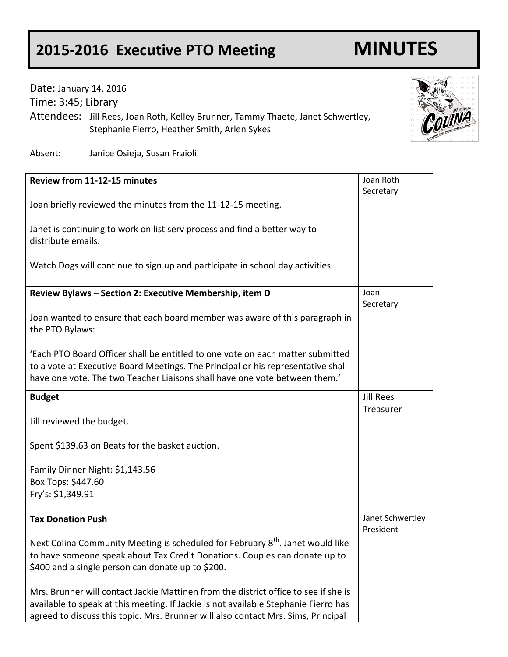## **2015-2016 Executive PTO Meeting MINUTES**

## Date: January 14, 2016 Time: 3:45; Library Attendees: Jill Rees, Joan Roth, Kelley Brunner, Tammy Thaete, Janet Schwertley, Stephanie Fierro, Heather Smith, Arlen Sykes



Absent: Janice Osieja, Susan Fraioli

| Review from 11-12-15 minutes                                                               | Joan Roth        |
|--------------------------------------------------------------------------------------------|------------------|
|                                                                                            | Secretary        |
| Joan briefly reviewed the minutes from the 11-12-15 meeting.                               |                  |
|                                                                                            |                  |
|                                                                                            |                  |
| Janet is continuing to work on list serv process and find a better way to                  |                  |
| distribute emails.                                                                         |                  |
|                                                                                            |                  |
| Watch Dogs will continue to sign up and participate in school day activities.              |                  |
|                                                                                            |                  |
|                                                                                            |                  |
| Review Bylaws - Section 2: Executive Membership, item D                                    | Joan             |
|                                                                                            | Secretary        |
| Joan wanted to ensure that each board member was aware of this paragraph in                |                  |
|                                                                                            |                  |
| the PTO Bylaws:                                                                            |                  |
|                                                                                            |                  |
| 'Each PTO Board Officer shall be entitled to one vote on each matter submitted             |                  |
| to a vote at Executive Board Meetings. The Principal or his representative shall           |                  |
| have one vote. The two Teacher Liaisons shall have one vote between them.'                 |                  |
|                                                                                            |                  |
| <b>Budget</b>                                                                              | <b>Jill Rees</b> |
|                                                                                            | Treasurer        |
| Jill reviewed the budget.                                                                  |                  |
|                                                                                            |                  |
|                                                                                            |                  |
| Spent \$139.63 on Beats for the basket auction.                                            |                  |
|                                                                                            |                  |
| Family Dinner Night: \$1,143.56                                                            |                  |
| Box Tops: \$447.60                                                                         |                  |
| Fry's: \$1,349.91                                                                          |                  |
|                                                                                            |                  |
|                                                                                            |                  |
| <b>Tax Donation Push</b>                                                                   | Janet Schwertley |
|                                                                                            | President        |
| Next Colina Community Meeting is scheduled for February 8 <sup>th</sup> . Janet would like |                  |
| to have someone speak about Tax Credit Donations. Couples can donate up to                 |                  |
| \$400 and a single person can donate up to \$200.                                          |                  |
|                                                                                            |                  |
|                                                                                            |                  |
| Mrs. Brunner will contact Jackie Mattinen from the district office to see if she is        |                  |
| available to speak at this meeting. If Jackie is not available Stephanie Fierro has        |                  |
| agreed to discuss this topic. Mrs. Brunner will also contact Mrs. Sims, Principal          |                  |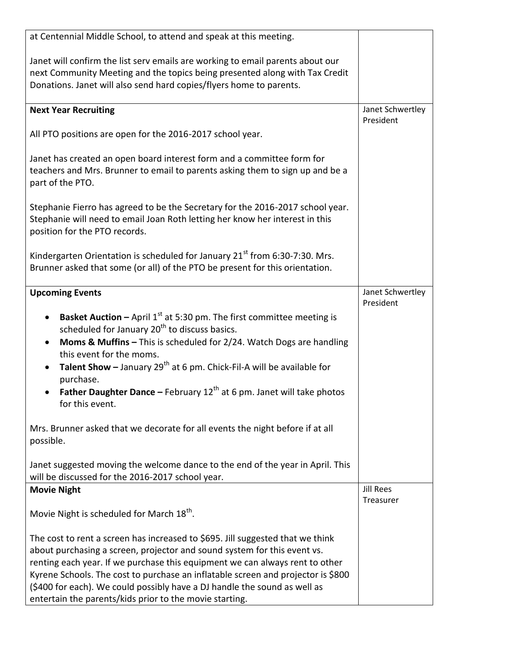| at Centennial Middle School, to attend and speak at this meeting.                                                                                                                                                                                                                                                                                                                                                                                      |                               |
|--------------------------------------------------------------------------------------------------------------------------------------------------------------------------------------------------------------------------------------------------------------------------------------------------------------------------------------------------------------------------------------------------------------------------------------------------------|-------------------------------|
| Janet will confirm the list serv emails are working to email parents about our<br>next Community Meeting and the topics being presented along with Tax Credit<br>Donations. Janet will also send hard copies/flyers home to parents.                                                                                                                                                                                                                   |                               |
| <b>Next Year Recruiting</b>                                                                                                                                                                                                                                                                                                                                                                                                                            | Janet Schwertley<br>President |
| All PTO positions are open for the 2016-2017 school year.                                                                                                                                                                                                                                                                                                                                                                                              |                               |
| Janet has created an open board interest form and a committee form for<br>teachers and Mrs. Brunner to email to parents asking them to sign up and be a<br>part of the PTO.                                                                                                                                                                                                                                                                            |                               |
| Stephanie Fierro has agreed to be the Secretary for the 2016-2017 school year.<br>Stephanie will need to email Joan Roth letting her know her interest in this<br>position for the PTO records.                                                                                                                                                                                                                                                        |                               |
| Kindergarten Orientation is scheduled for January 21 <sup>st</sup> from 6:30-7:30. Mrs.<br>Brunner asked that some (or all) of the PTO be present for this orientation.                                                                                                                                                                                                                                                                                |                               |
| <b>Upcoming Events</b>                                                                                                                                                                                                                                                                                                                                                                                                                                 | Janet Schwertley<br>President |
| <b>Basket Auction - April 1st at 5:30 pm. The first committee meeting is</b><br>scheduled for January 20 <sup>th</sup> to discuss basics.<br>Moms & Muffins - This is scheduled for 2/24. Watch Dogs are handling<br>this event for the moms.<br>Talent Show - January $29^{th}$ at 6 pm. Chick-Fil-A will be available for<br>purchase.<br><b>Father Daughter Dance - February 12<sup>th</sup> at 6 pm. Janet will take photos</b><br>for this event. |                               |
| Mrs. Brunner asked that we decorate for all events the night before if at all<br>possible.                                                                                                                                                                                                                                                                                                                                                             |                               |
| Janet suggested moving the welcome dance to the end of the year in April. This<br>will be discussed for the 2016-2017 school year.                                                                                                                                                                                                                                                                                                                     |                               |
| <b>Movie Night</b>                                                                                                                                                                                                                                                                                                                                                                                                                                     | <b>Jill Rees</b><br>Treasurer |
| Movie Night is scheduled for March 18 <sup>th</sup> .                                                                                                                                                                                                                                                                                                                                                                                                  |                               |
| The cost to rent a screen has increased to \$695. Jill suggested that we think                                                                                                                                                                                                                                                                                                                                                                         |                               |
| about purchasing a screen, projector and sound system for this event vs.                                                                                                                                                                                                                                                                                                                                                                               |                               |
| renting each year. If we purchase this equipment we can always rent to other                                                                                                                                                                                                                                                                                                                                                                           |                               |
| Kyrene Schools. The cost to purchase an inflatable screen and projector is \$800                                                                                                                                                                                                                                                                                                                                                                       |                               |
| (\$400 for each). We could possibly have a DJ handle the sound as well as<br>entertain the parents/kids prior to the movie starting.                                                                                                                                                                                                                                                                                                                   |                               |